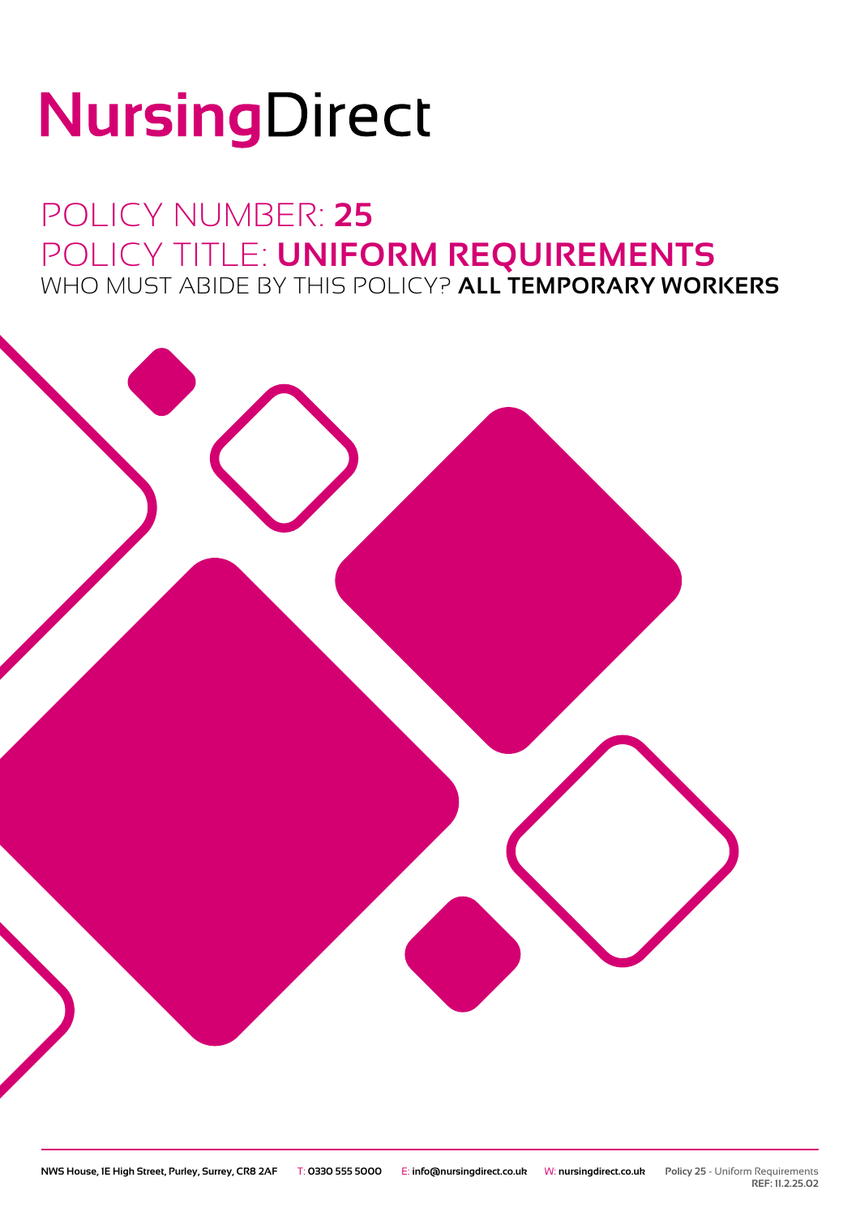# NursingDirect

## POLICY NUMBER: **25** POLICY TITLE: **UNIFORM REQUIREMENTS** WHO MUST ABIDE BY THIS POLICY? **ALL TEMPORARY WORKERS**



**REF: 11.2.25.02**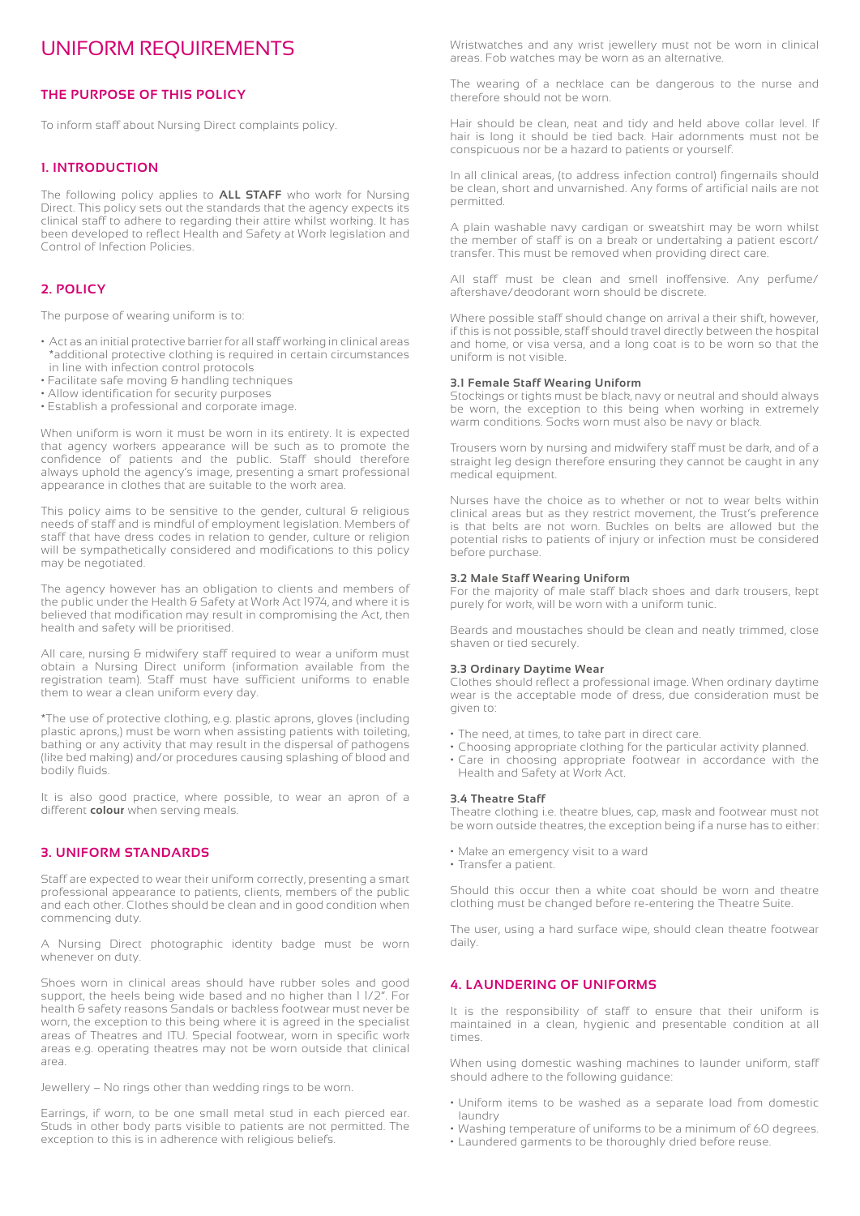### UNIFORM REQUIREMENTS

#### **THE PURPOSE OF THIS POLICY**

To inform staff about Nursing Direct complaints policy.

#### **1. INTRODUCTION**

The following policy applies to **ALL STAFF** who work for Nursing Direct. This policy sets out the standards that the agency expects its clinical staff to adhere to regarding their attire whilst working. It has been developed to reflect Health and Safety at Work legislation and Control of Infection Policies.

#### **2. POLICY**

The purpose of wearing uniform is to:

- Act as an initial protective barrier for all staff working in clinical areas \*additional protective clothing is required in certain circumstances in line with infection control protocols
- Facilitate safe moving & handling techniques
- Allow identification for security purposes
- Establish a professional and corporate image.

When uniform is worn it must be worn in its entirety. It is expected that agency workers appearance will be such as to promote the confidence of patients and the public. Staff should therefore always uphold the agency's image, presenting a smart professional appearance in clothes that are suitable to the work area.

This policy aims to be sensitive to the gender, cultural & religious needs of staff and is mindful of employment legislation. Members of staff that have dress codes in relation to gender, culture or religion will be sympathetically considered and modifications to this policy may be negotiated.

The agency however has an obligation to clients and members of the public under the Health & Safety at Work Act 1974, and where it is believed that modification may result in compromising the Act, then health and safety will be prioritised.

All care, nursing & midwifery staff required to wear a uniform must obtain a Nursing Direct uniform (information available from the registration team). Staff must have sufficient uniforms to enable them to wear a clean uniform every day.

\*The use of protective clothing, e.g. plastic aprons, gloves (including plastic aprons,) must be worn when assisting patients with toileting, bathing or any activity that may result in the dispersal of pathogens (like bed making) and/or procedures causing splashing of blood and bodily fluids.

It is also good practice, where possible, to wear an apron of a different **colour** when serving meals.

#### **3. UNIFORM STANDARDS**

Staff are expected to wear their uniform correctly, presenting a smart professional appearance to patients, clients, members of the public and each other. Clothes should be clean and in good condition when commencing duty.

A Nursing Direct photographic identity badge must be worn whenever on duty.

Shoes worn in clinical areas should have rubber soles and good support, the heels being wide based and no higher than 1 1/2". For health & safety reasons Sandals or backless footwear must never be worn, the exception to this being where it is agreed in the specialist areas of Theatres and ITU. Special footwear, worn in specific work areas e.g. operating theatres may not be worn outside that clinical area.

Jewellery – No rings other than wedding rings to be worn.

Earrings, if worn, to be one small metal stud in each pierced ear. Studs in other body parts visible to patients are not permitted. The exception to this is in adherence with religious beliefs.

Wristwatches and any wrist jewellery must not be worn in clinical areas. Fob watches may be worn as an alternative.

The wearing of a necklace can be dangerous to the nurse and therefore should not be worn.

Hair should be clean, neat and tidy and held above collar level. If hair is long it should be tied back. Hair adornments must not be conspicuous nor be a hazard to patients or yourself.

In all clinical areas, (to address infection control) fingernails should be clean, short and unvarnished. Any forms of artificial nails are not permitted.

A plain washable navy cardigan or sweatshirt may be worn whilst the member of staff is on a break or undertaking a patient escort/ transfer. This must be removed when providing direct care.

All staff must be clean and smell inoffensive. Any perfume/ aftershave/deodorant worn should be discrete.

Where possible staff should change on arrival a their shift, however, if this is not possible, staff should travel directly between the hospital and home, or visa versa, and a long coat is to be worn so that the uniform is not visible.

#### **3.1 Female Staff Wearing Uniform**

Stockings or tights must be black, navy or neutral and should always be worn, the exception to this being when working in extremely warm conditions. Socks worn must also be navy or black.

Trousers worn by nursing and midwifery staff must be dark, and of a straight leg design therefore ensuring they cannot be caught in any medical equipment.

Nurses have the choice as to whether or not to wear belts within clinical areas but as they restrict movement, the Trust's preference is that belts are not worn. Buckles on belts are allowed but the potential risks to patients of injury or infection must be considered before purchase.

#### **3.2 Male Staff Wearing Uniform**

For the majority of male staff black shoes and dark trousers, kept purely for work, will be worn with a uniform tunic.

Beards and moustaches should be clean and neatly trimmed, close shaven or tied securely.

#### **3.3 Ordinary Daytime Wear**

Clothes should reflect a professional image. When ordinary daytime wear is the acceptable mode of dress, due consideration must be given to:

- The need, at times, to take part in direct care.
- Choosing appropriate clothing for the particular activity planned.
- Care in choosing appropriate footwear in accordance with the Health and Safety at Work Act.

#### **3.4 Theatre Staff**

Theatre clothing i.e. theatre blues, cap, mask and footwear must not be worn outside theatres, the exception being if a nurse has to either:

- Make an emergency visit to a ward
- Transfer a patient.

Should this occur then a white coat should be worn and theatre clothing must be changed before re-entering the Theatre Suite.

The user, using a hard surface wipe, should clean theatre footwear daily.

#### **4. LAUNDERING OF UNIFORMS**

It is the responsibility of staff to ensure that their uniform is maintained in a clean, hygienic and presentable condition at all times.

When using domestic washing machines to launder uniform, staff should adhere to the following guidance:

- Uniform items to be washed as a separate load from domestic laundry
- Washing temperature of uniforms to be a minimum of 60 degrees.
- Laundered garments to be thoroughly dried before reuse.